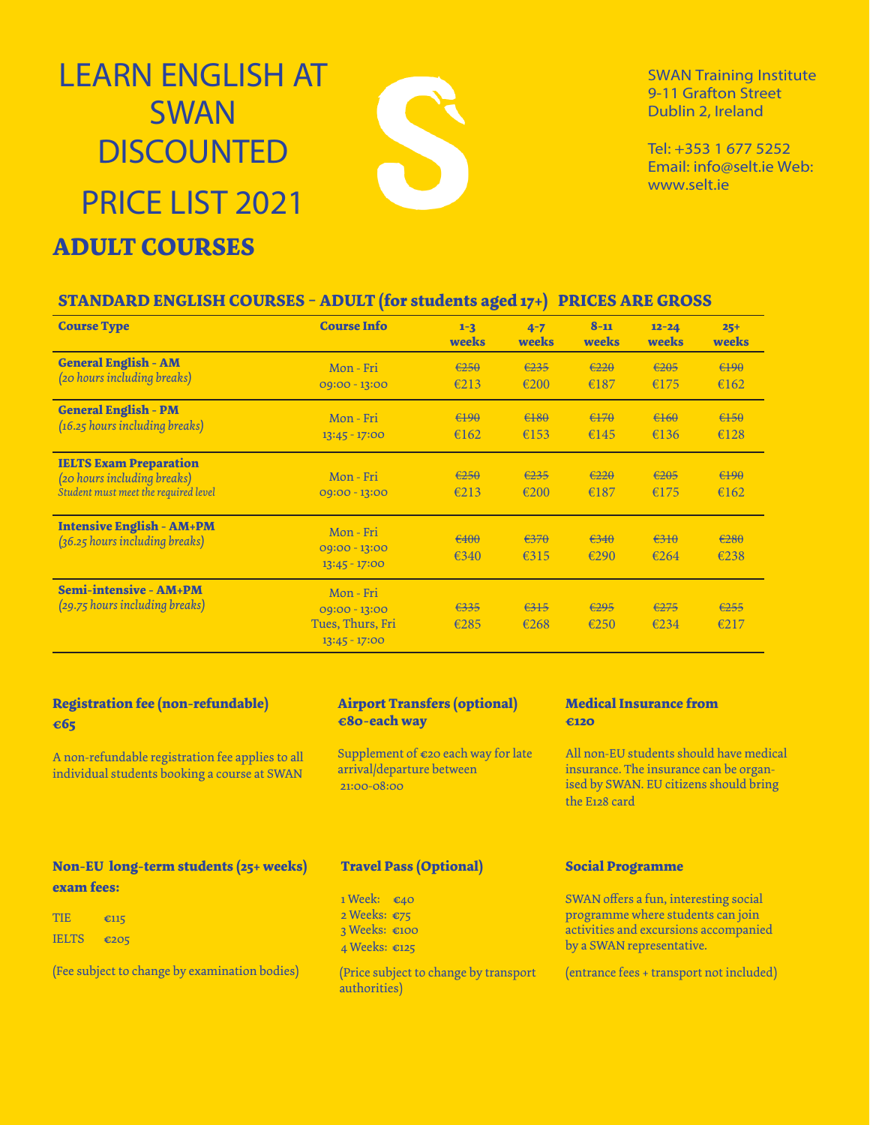# LEARN ENGLISH AT **SWAN DISCOUNTED** PRICE LIST 2021

## **ADULT COURSES**

SWAN Training Institute 9-11 Grafton Street Dublin 2, Ireland

Tel: +353 1 677 5252 Email: info@selt.ie Web: www.selt.ie

### **STANDARD ENGLISH COURSES - ADULT (for students aged 17+) PRICES ARE GROSS**

S

| <b>Course Type</b>                                                                                   | <b>Course Info</b>                                                | $1 - 3$<br>weeks       | $4 - 7$<br>weeks | $8 - 11$<br>weeks      | $12 - 24$<br>weeks | $25+$<br>weeks                    |
|------------------------------------------------------------------------------------------------------|-------------------------------------------------------------------|------------------------|------------------|------------------------|--------------------|-----------------------------------|
| <b>General English - AM</b><br>(20 hours including breaks)                                           | Mon - Fri<br>$09:00 - 13:00$                                      | $\epsilon$ 250<br>€213 | €235<br>€200     | $\epsilon 220$<br>€187 | €205<br>€175       | $f + 90$<br>€162                  |
| <b>General English - PM</b><br>(16.25 hours including breaks)                                        | Mon - Fri<br>$13:45 - 17:00$                                      | $490$<br>€162          | $480$<br>€153    | $170$<br>€145          | $6160$<br>€136     | $6150$<br>€128                    |
| <b>IELTS Exam Preparation</b><br>(20 hours including breaks)<br>Student must meet the required level | Mon - Fri<br>$09:00 - 13:00$                                      | $\epsilon$ 250<br>€213 | €235<br>€200     | $\epsilon 220$<br>€187 | €205<br>€175       | $f + 90$<br>€162                  |
| <b>Intensive English - AM+PM</b><br>(36.25 hours including breaks)                                   | Mon-Fri<br>$09:00 - 13:00$<br>$13:45 - 17:00$                     | €400<br>€340           | $270$<br>€315    | $\epsilon$ 340<br>€290 | 6310<br>€264       | $\epsilon$ <sub>280</sub><br>€238 |
| <b>Semi-intensive - AM+PM</b><br>(29.75 hours including breaks)                                      | Mon - Fri<br>09:00 - 13:00<br>Tues, Thurs, Fri<br>$13:45 - 17:00$ | €335<br>€285           | $2315$<br>€268   | $\epsilon$ 295<br>€250 | 6275<br>€234       | 255<br>€217                       |

### **Registration fee (non-refundable) €65**

A non-refundable registration fee applies to all individual students booking a course at SWAN

### **Airport Transfers (optional) €80-each way**

Supplement of €20 each way for late arrival/departure between 21:00-08:00

#### **Medical Insurance from €120**

All non-EU students should have medical insurance. The insurance can be organised by SWAN. EU citizens should bring the E128 card

### **Travel Pass (Optional)**

- 1 Week: €40
- 2 Weeks: €75
- 3 Weeks: €100
- 4 Weeks: €125

(Price subject to change by transport authorities)

#### **Social Programme**

SWAN offers a fun, interesting social programme where students can join activities and excursions accompanied by a SWAN representative.

(entrance fees + transport not included)

### **Non-EU long-term students (25+ weeks) exam fees:**

| TIE.         | £115 |
|--------------|------|
| <b>TELTS</b> | €205 |

(Fee subject to change by examination bodies)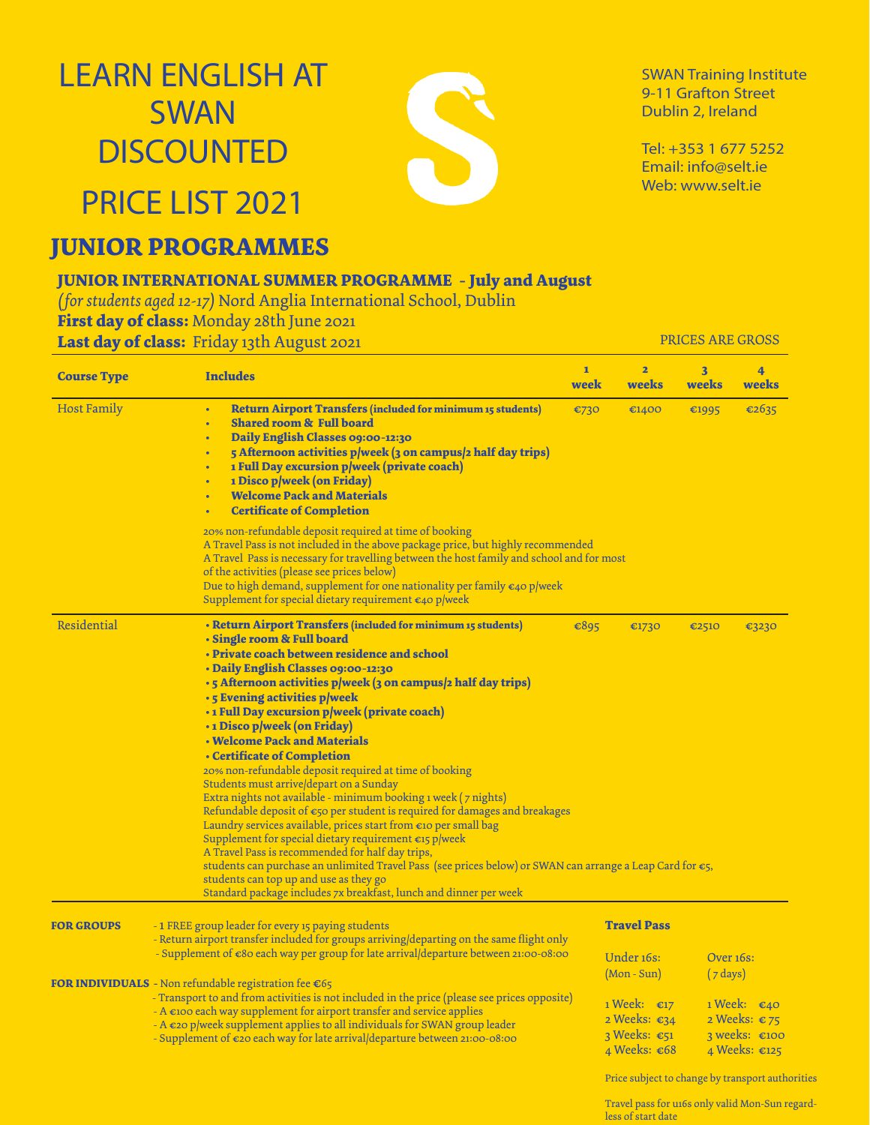# LEARN ENGLISH AT SWAN **DISCOUNTED**



SWAN Training Institute 9-11 Grafton Street Dublin 2, Ireland

Tel: +353 1 677 5252 Email: info@selt.ie Web: www.selt.ie

## **JUNIOR PROGRAMMES**

PRICE LIST 2021

### **JUNIOR INTERNATIONAL SUMMER PROGRAMME - July and August**

*( for students aged 12-17)* Nord Anglia International School, Dublin **First day of class:** Monday 28th June 2021

**Last day of class:** Friday 13th August 2021

PRICES ARE GROSS

| <b>Course Type</b> | <b>Includes</b>                                                                                                                                                                                                                                                                                                                                                                                                                                                                                                                                                                                                                                                                                                                                                                                                                                                                                                                                                                                                                                                                                                                    | $\mathbf{1}$<br>week | $\overline{2}$<br>weeks                                                 | $\overline{\mathbf{3}}$<br>weeks | 4<br>weeks                                                                          |
|--------------------|------------------------------------------------------------------------------------------------------------------------------------------------------------------------------------------------------------------------------------------------------------------------------------------------------------------------------------------------------------------------------------------------------------------------------------------------------------------------------------------------------------------------------------------------------------------------------------------------------------------------------------------------------------------------------------------------------------------------------------------------------------------------------------------------------------------------------------------------------------------------------------------------------------------------------------------------------------------------------------------------------------------------------------------------------------------------------------------------------------------------------------|----------------------|-------------------------------------------------------------------------|----------------------------------|-------------------------------------------------------------------------------------|
| <b>Host Family</b> | <b>Return Airport Transfers (included for minimum 15 students)</b><br>$\bullet$<br><b>Shared room &amp; Full board</b><br>$\bullet$<br>Daily English Classes 09:00-12:30<br>ä<br>5 Afternoon activities p/week (3 on campus/2 half day trips)<br>$\bullet$<br>1 Full Day excursion p/week (private coach)<br>$\bullet$<br>1 Disco p/week (on Friday)<br>$\bullet$<br><b>Welcome Pack and Materials</b><br><b>Certificate of Completion</b>                                                                                                                                                                                                                                                                                                                                                                                                                                                                                                                                                                                                                                                                                         | €730                 | €1400                                                                   | €1995                            | €2635                                                                               |
|                    | 20% non-refundable deposit required at time of booking<br>A Travel Pass is not included in the above package price, but highly recommended<br>A Travel Pass is necessary for travelling between the host family and school and for most<br>of the activities (please see prices below)<br>Due to high demand, supplement for one nationality per family €40 p/week<br>Supplement for special dietary requirement $\epsilon_4$ o p/week                                                                                                                                                                                                                                                                                                                                                                                                                                                                                                                                                                                                                                                                                             |                      |                                                                         |                                  |                                                                                     |
| Residential        | • Return Airport Transfers (included for minimum 15 students)<br>• Single room & Full board<br>• Private coach between residence and school<br>• Daily English Classes 09:00-12:30<br>· 5 Afternoon activities p/week (3 on campus/2 half day trips)<br>· 5 Evening activities p/week<br>· 1 Full Day excursion p/week (private coach)<br>•1 Disco p/week (on Friday)<br><b>• Welcome Pack and Materials</b><br>• Certificate of Completion<br>20% non-refundable deposit required at time of booking<br>Students must arrive/depart on a Sunday<br>Extra nights not available - minimum booking 1 week (7 nights)<br>Refundable deposit of €50 per student is required for damages and breakages<br>Laundry services available, prices start from €10 per small bag<br>Supplement for special dietary requirement $\epsilon$ 15 p/week<br>A Travel Pass is recommended for half day trips,<br>students can purchase an unlimited Travel Pass (see prices below) or SWAN can arrange a Leap Card for $\epsilon_5$ ,<br>students can top up and use as they go<br>Standard package includes 7x breakfast, lunch and dinner per week | €895                 | €1730                                                                   | €2510                            | €3230                                                                               |
| <b>FOR GROUPS</b>  | -1 FREE group leader for every 15 paying students<br>- Return airport transfer included for groups arriving/departing on the same flight only                                                                                                                                                                                                                                                                                                                                                                                                                                                                                                                                                                                                                                                                                                                                                                                                                                                                                                                                                                                      |                      | <b>Travel Pass</b>                                                      |                                  |                                                                                     |
|                    | - Supplement of $\epsilon$ 80 each way per group for late arrival/departure between 21:00-08:00<br><b>FOR INDIVIDUALS</b> - Non refundable registration fee $\epsilon$ 65                                                                                                                                                                                                                                                                                                                                                                                                                                                                                                                                                                                                                                                                                                                                                                                                                                                                                                                                                          |                      | Under 16s:<br>$(Mon-Sun)$                                               | Over 16s:<br>$(7 \text{ days})$  |                                                                                     |
|                    | - Transport to and from activities is not included in the price (please see prices opposite)<br>$-$ A $\epsilon$ 100 each way supplement for airport transfer and service applies<br>$-A \epsilon$ 20 p/week supplement applies to all individuals for SWAN group leader<br>- Supplement of $\epsilon$ 20 each way for late arrival/departure between 21:00-08:00                                                                                                                                                                                                                                                                                                                                                                                                                                                                                                                                                                                                                                                                                                                                                                  |                      | 1 Week: $\epsilon_{17}$<br>2 Weeks: €34<br>3 Weeks: €51<br>4 Weeks: €68 |                                  | 1 Week: $\epsilon$ 40<br>2 Weeks: €75<br>3 weeks: $€100$<br>4 Weeks: $\epsilon$ 125 |

Price subject to change by transport authorities

Travel pass for u16s only valid Mon-Sun regardless of start date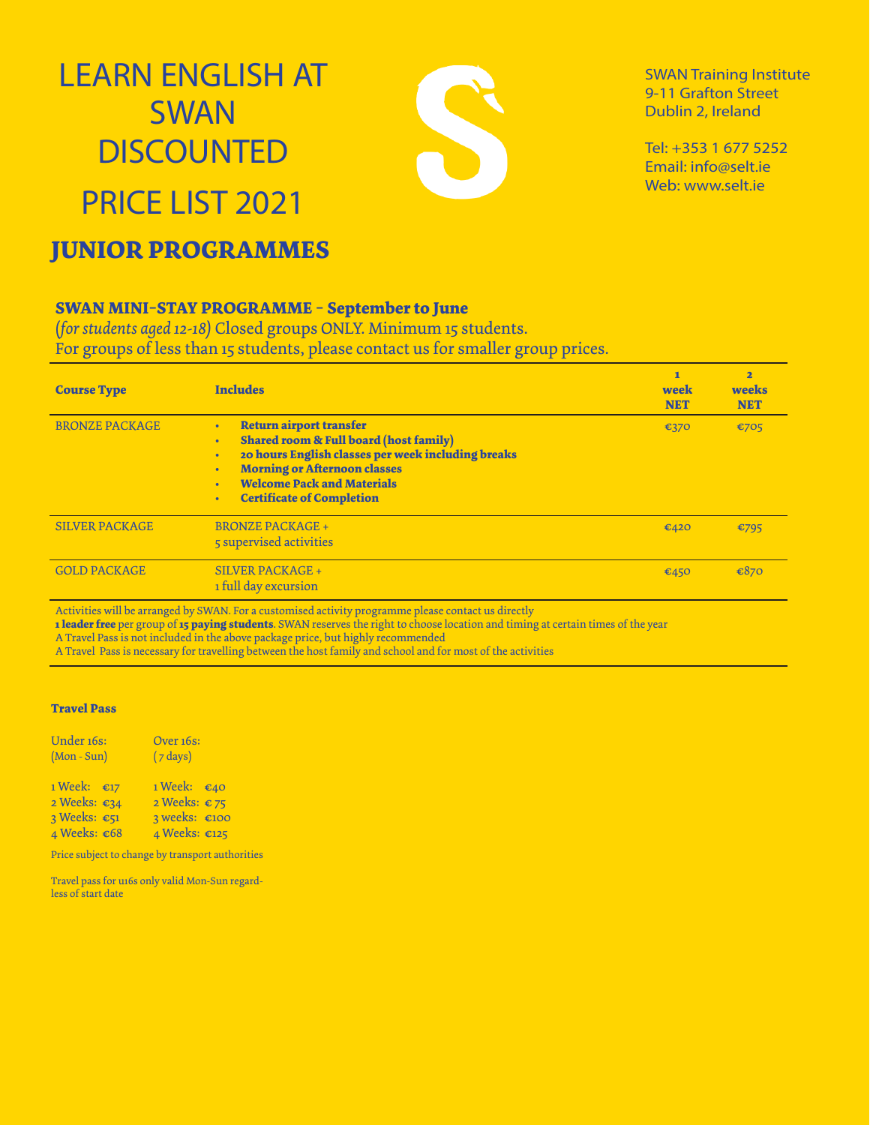# LEARN ENGLISH AT SWAN **DISCOUNTED** PRICE LIST 2021



SWAN Training Institute 9-11 Grafton Street Dublin 2, Ireland

Tel: +353 1 677 5252 Email: info@selt.ie Web: www.selt.ie

## **JUNIOR PROGRAMMES**

### **SWAN MINI-STAY PROGRAMME - September to June**

(*for students aged 12-18)* Closed groups ONLY. Minimum 15 students. For groups of less than 15 students, please contact us for smaller group prices.

| <b>Course Type</b>    | <b>Includes</b>                                                                                                                                                                                                                                           | ī<br>week<br><b>NET</b> | $\overline{\mathbf{2}}$<br>weeks<br><b>NET</b> |
|-----------------------|-----------------------------------------------------------------------------------------------------------------------------------------------------------------------------------------------------------------------------------------------------------|-------------------------|------------------------------------------------|
| <b>BRONZE PACKAGE</b> | <b>Return airport transfer</b><br><b>Shared room &amp; Full board (host family)</b><br>20 hours English classes per week including breaks<br><b>Morning or Afternoon classes</b><br><b>Welcome Pack and Materials</b><br><b>Certificate of Completion</b> | €370                    | €705                                           |
| <b>SILVER PACKAGE</b> | <b>BRONZE PACKAGE +</b><br>5 supervised activities                                                                                                                                                                                                        | €420                    | €795                                           |
| <b>GOLD PACKAGE</b>   | <b>SILVER PACKAGE +</b><br>1 full day excursion                                                                                                                                                                                                           | €450                    | €870                                           |

Activities will be arranged by SWAN. For a customised activity programme please contact us directly

**1 leader free** per group of **15 paying students**. SWAN reserves the right to choose location and timing at certain times of the year

A Travel Pass is not included in the above package price, but highly recommended

A Travel Pass is necessary for travelling between the host family and school and for most of the activities

#### **Travel Pass**

| Under 16s:<br>$(Mon-Sun)$ | Over 16s:<br>$(7 \text{ days})$ |  |  |
|---------------------------|---------------------------------|--|--|
| $1$ Week: $\epsilon_{17}$ | 1 Week: $\epsilon$ 40           |  |  |
| 2 Weeks: €34              | 2 Weeks: $\epsilon$ 75          |  |  |
| 3 Weeks: $\epsilon$ 51    | $3$ weeks: $\epsilon$ 100       |  |  |
| 4 Weeks: €68              | 4 Weeks: €125                   |  |  |

Price subject to change by transport authorities

Travel pass for u16s only valid Mon-Sun regardless of start date